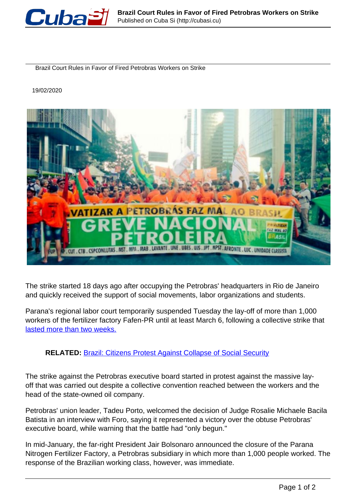

Brazil Court Rules in Favor of Fired Petrobras Workers on Strike

19/02/2020



The strike started 18 days ago after occupying the Petrobras' headquarters in Rio de Janeiro and quickly received the support of social movements, labor organizations and students.

Parana's regional labor court temporarily suspended Tuesday the lay-off of more than 1,000 workers of the fertilizer factory Fafen-PR until at least March 6, following a collective strike that [lasted more than two weeks.](https://www.telesurenglish.net/news/Brazil-20000-Oil-Workers-on-Strike-to-Halt-Privatization-Plan-20200211-0009.html)

## **RELATED:** Brazil: Citizens Protest Against Collapse of Social Security

The strike against the Petrobras executive board started in protest against the massive layoff that was carried out despite a collective convention reached between the workers and the head of the state-owned oil company.

Petrobras' union leader, Tadeu Porto, welcomed the decision of Judge Rosalie Michaele Bacila Batista in an interview with Foro, saying it represented a victory over the obtuse Petrobras' executive board, while warning that the battle had "only begun."

In mid-January, the far-right President Jair Bolsonaro announced the closure of the Parana Nitrogen Fertilizer Factory, a Petrobras subsidiary in which more than 1,000 people worked. The response of the Brazilian working class, however, was immediate.